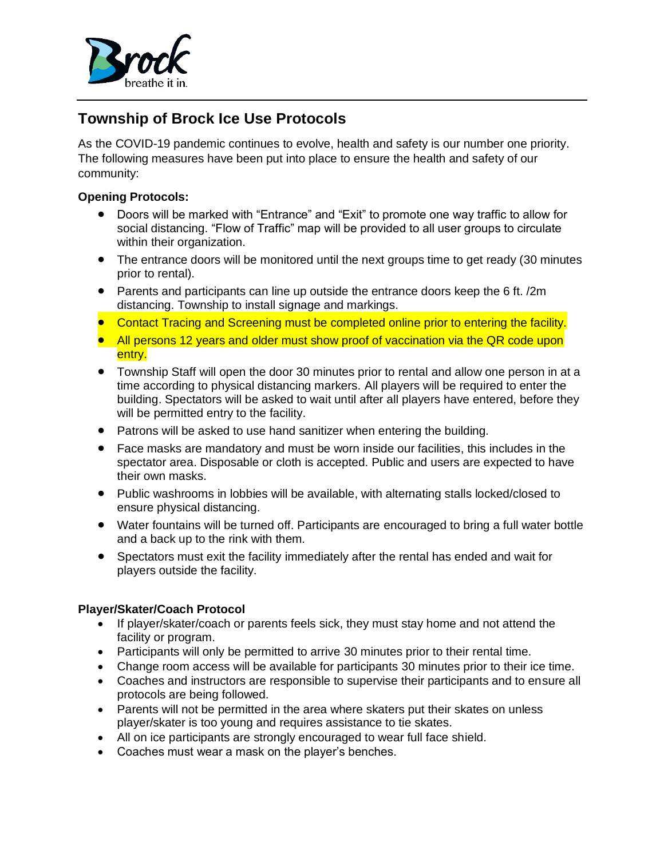

# **Township of Brock Ice Use Protocols**

As the COVID-19 pandemic continues to evolve, health and safety is our number one priority. The following measures have been put into place to ensure the health and safety of our community:

## **Opening Protocols:**

- Doors will be marked with "Entrance" and "Exit" to promote one way traffic to allow for social distancing. "Flow of Traffic" map will be provided to all user groups to circulate within their organization.
- The entrance doors will be monitored until the next groups time to get ready (30 minutes prior to rental).
- Parents and participants can line up outside the entrance doors keep the 6 ft. /2m distancing. Township to install signage and markings.
- Contact Tracing and Screening must be completed online prior to entering the facility.
- All persons 12 years and older must show proof of vaccination via the QR code upon entry.
- Township Staff will open the door 30 minutes prior to rental and allow one person in at a time according to physical distancing markers. All players will be required to enter the building. Spectators will be asked to wait until after all players have entered, before they will be permitted entry to the facility.
- Patrons will be asked to use hand sanitizer when entering the building.
- Face masks are mandatory and must be worn inside our facilities, this includes in the spectator area. Disposable or cloth is accepted. Public and users are expected to have their own masks.
- Public washrooms in lobbies will be available, with alternating stalls locked/closed to ensure physical distancing.
- Water fountains will be turned off. Participants are encouraged to bring a full water bottle and a back up to the rink with them.
- Spectators must exit the facility immediately after the rental has ended and wait for players outside the facility.

#### **Player/Skater/Coach Protocol**

- If player/skater/coach or parents feels sick, they must stay home and not attend the facility or program.
- Participants will only be permitted to arrive 30 minutes prior to their rental time.
- Change room access will be available for participants 30 minutes prior to their ice time.
- Coaches and instructors are responsible to supervise their participants and to ensure all protocols are being followed.
- Parents will not be permitted in the area where skaters put their skates on unless player/skater is too young and requires assistance to tie skates.
- All on ice participants are strongly encouraged to wear full face shield.
- Coaches must wear a mask on the player's benches.